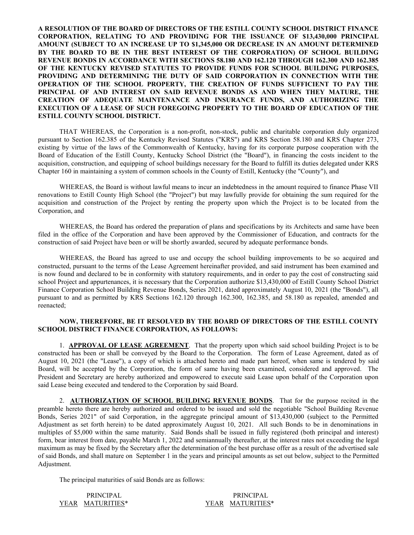**A RESOLUTION OF THE BOARD OF DIRECTORS OF THE ESTILL COUNTY SCHOOL DISTRICT FINANCE CORPORATION, RELATING TO AND PROVIDING FOR THE ISSUANCE OF \$13,430,000 PRINCIPAL AMOUNT (SUBJECT TO AN INCREASE UP TO \$1,345,000 OR DECREASE IN AN AMOUNT DETERMINED BY THE BOARD TO BE IN THE BEST INTEREST OF THE CORPORATION) OF SCHOOL BUILDING REVENUE BONDS IN ACCORDANCE WITH SECTIONS 58.180 AND 162.120 THROUGH 162.300 AND 162.385 OF THE KENTUCKY REVISED STATUTES TO PROVIDE FUNDS FOR SCHOOL BUILDING PURPOSES, PROVIDING AND DETERMINING THE DUTY OF SAID CORPORATION IN CONNECTION WITH THE OPERATION OF THE SCHOOL PROPERTY, THE CREATION OF FUNDS SUFFICIENT TO PAY THE PRINCIPAL OF AND INTEREST ON SAID REVENUE BONDS AS AND WHEN THEY MATURE, THE CREATION OF ADEQUATE MAINTENANCE AND INSURANCE FUNDS, AND AUTHORIZING THE EXECUTION OF A LEASE OF SUCH FOREGOING PROPERTY TO THE BOARD OF EDUCATION OF THE ESTILL COUNTY SCHOOL DISTRICT.**

THAT WHEREAS, the Corporation is a non-profit, non-stock, public and charitable corporation duly organized pursuant to Section 162.385 of the Kentucky Revised Statutes ("KRS") and KRS Section 58.180 and KRS Chapter 273, existing by virtue of the laws of the Commonwealth of Kentucky, having for its corporate purpose cooperation with the Board of Education of the Estill County, Kentucky School District (the "Board"), in financing the costs incident to the acquisition, construction, and equipping of school buildings necessary for the Board to fulfill its duties delegated under KRS Chapter 160 in maintaining a system of common schools in the County of Estill, Kentucky (the "County"), and

WHEREAS, the Board is without lawful means to incur an indebtedness in the amount required to finance Phase VII renovations to Estill County High School (the "Project") but may lawfully provide for obtaining the sum required for the acquisition and construction of the Project by renting the property upon which the Project is to be located from the Corporation, and

WHEREAS, the Board has ordered the preparation of plans and specifications by its Architects and same have been filed in the office of the Corporation and have been approved by the Commissioner of Education, and contracts for the construction of said Project have been or will be shortly awarded, secured by adequate performance bonds.

WHEREAS, the Board has agreed to use and occupy the school building improvements to be so acquired and constructed, pursuant to the terms of the Lease Agreement hereinafter provided, and said instrument has been examined and is now found and declared to be in conformity with statutory requirements, and in order to pay the cost of constructing said school Project and appurtenances, it is necessary that the Corporation authorize \$13,430,000 of Estill County School District Finance Corporation School Building Revenue Bonds, Series 2021, dated approximately August 10, 2021 (the "Bonds"), all pursuant to and as permitted by KRS Sections 162.120 through 162.300, 162.385, and 58.180 as repealed, amended and reenacted;

## **NOW, THEREFORE, BE IT RESOLVED BY THE BOARD OF DIRECTORS OF THE ESTILL COUNTY SCHOOL DISTRICT FINANCE CORPORATION, AS FOLLOWS:**

1. **APPROVAL OF LEASE AGREEMENT**. That the property upon which said school building Project is to be constructed has been or shall be conveyed by the Board to the Corporation. The form of Lease Agreement, dated as of August 10, 2021 (the "Lease"), a copy of which is attached hereto and made part hereof, when same is tendered by said Board, will be accepted by the Corporation, the form of same having been examined, considered and approved. The President and Secretary are hereby authorized and empowered to execute said Lease upon behalf of the Corporation upon said Lease being executed and tendered to the Corporation by said Board.

2. **AUTHORIZATION OF SCHOOL BUILDING REVENUE BONDS**. That for the purpose recited in the preamble hereto there are hereby authorized and ordered to be issued and sold the negotiable "School Building Revenue Bonds, Series 2021" of said Corporation, in the aggregate principal amount of \$13,430,000 (subject to the Permitted Adjustment as set forth herein) to be dated approximately August 10, 2021. All such Bonds to be in denominations in multiples of \$5,000 within the same maturity. Said Bonds shall be issued in fully registered (both principal and interest) form, bear interest from date, payable March 1, 2022 and semiannually thereafter, at the interest rates not exceeding the legal maximum as may be fixed by the Secretary after the determination of the best purchase offer as a result of the advertised sale of said Bonds, and shall mature on September 1 in the years and principal amounts as set out below, subject to the Permitted Adjustment.

The principal maturities of said Bonds are as follows:

| <b>PRINCIPAL</b> | <b>PRINCIPAL</b> |
|------------------|------------------|
| YEAR MATURITIES* | YEAR MATURITIES* |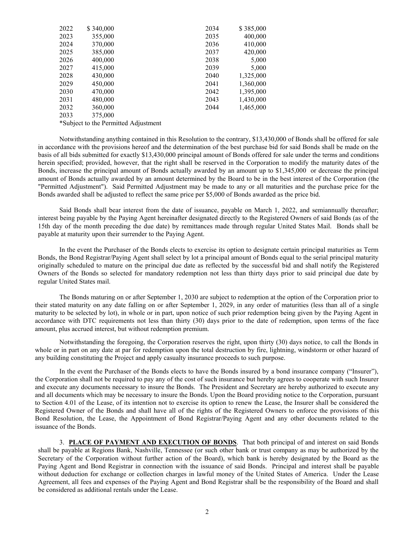| 2022 | \$340,000 | 2034 | \$385,000 |
|------|-----------|------|-----------|
| 2023 | 355,000   | 2035 | 400,000   |
| 2024 | 370,000   | 2036 | 410,000   |
| 2025 | 385,000   | 2037 | 420,000   |
| 2026 | 400,000   | 2038 | 5,000     |
| 2027 | 415,000   | 2039 | 5,000     |
| 2028 | 430,000   | 2040 | 1,325,000 |
| 2029 | 450,000   | 2041 | 1,360,000 |
| 2030 | 470,000   | 2042 | 1,395,000 |
| 2031 | 480,000   | 2043 | 1,430,000 |
| 2032 | 360,000   | 2044 | 1,465,000 |
| 2033 | 375,000   |      |           |

\*Subject to the Permitted Adjustment

Notwithstanding anything contained in this Resolution to the contrary, \$13,430,000 of Bonds shall be offered for sale in accordance with the provisions hereof and the determination of the best purchase bid for said Bonds shall be made on the basis of all bids submitted for exactly \$13,430,000 principal amount of Bonds offered for sale under the terms and conditions herein specified; provided, however, that the right shall be reserved in the Corporation to modify the maturity dates of the Bonds, increase the principal amount of Bonds actually awarded by an amount up to \$1,345,000 or decrease the principal amount of Bonds actually awarded by an amount determined by the Board to be in the best interest of the Corporation (the "Permitted Adjustment"). Said Permitted Adjustment may be made to any or all maturities and the purchase price for the Bonds awarded shall be adjusted to reflect the same price per \$5,000 of Bonds awarded as the price bid.

Said Bonds shall bear interest from the date of issuance, payable on March 1, 2022, and semiannually thereafter; interest being payable by the Paying Agent hereinafter designated directly to the Registered Owners of said Bonds (as of the 15th day of the month preceding the due date) by remittances made through regular United States Mail. Bonds shall be payable at maturity upon their surrender to the Paying Agent.

In the event the Purchaser of the Bonds elects to exercise its option to designate certain principal maturities as Term Bonds, the Bond Registrar/Paying Agent shall select by lot a principal amount of Bonds equal to the serial principal maturity originally scheduled to mature on the principal due date as reflected by the successful bid and shall notify the Registered Owners of the Bonds so selected for mandatory redemption not less than thirty days prior to said principal due date by regular United States mail.

The Bonds maturing on or after September 1, 2030 are subject to redemption at the option of the Corporation prior to their stated maturity on any date falling on or after September 1, 2029, in any order of maturities (less than all of a single maturity to be selected by lot), in whole or in part, upon notice of such prior redemption being given by the Paying Agent in accordance with DTC requirements not less than thirty (30) days prior to the date of redemption, upon terms of the face amount, plus accrued interest, but without redemption premium.

Notwithstanding the foregoing, the Corporation reserves the right, upon thirty (30) days notice, to call the Bonds in whole or in part on any date at par for redemption upon the total destruction by fire, lightning, windstorm or other hazard of any building constituting the Project and apply casualty insurance proceeds to such purpose.

In the event the Purchaser of the Bonds elects to have the Bonds insured by a bond insurance company ("Insurer"), the Corporation shall not be required to pay any of the cost of such insurance but hereby agrees to cooperate with such Insurer and execute any documents necessary to insure the Bonds. The President and Secretary are hereby authorized to execute any and all documents which may be necessary to insure the Bonds. Upon the Board providing notice to the Corporation, pursuant to Section 4.01 of the Lease, of its intention not to exercise its option to renew the Lease, the Insurer shall be considered the Registered Owner of the Bonds and shall have all of the rights of the Registered Owners to enforce the provisions of this Bond Resolution, the Lease, the Appointment of Bond Registrar/Paying Agent and any other documents related to the issuance of the Bonds.

3. **PLACE OF PAYMENT AND EXECUTION OF BONDS**. That both principal of and interest on said Bonds shall be payable at Regions Bank, Nashville, Tennessee (or such other bank or trust company as may be authorized by the Secretary of the Corporation without further action of the Board), which bank is hereby designated by the Board as the Paying Agent and Bond Registrar in connection with the issuance of said Bonds. Principal and interest shall be payable without deduction for exchange or collection charges in lawful money of the United States of America. Under the Lease Agreement, all fees and expenses of the Paying Agent and Bond Registrar shall be the responsibility of the Board and shall be considered as additional rentals under the Lease.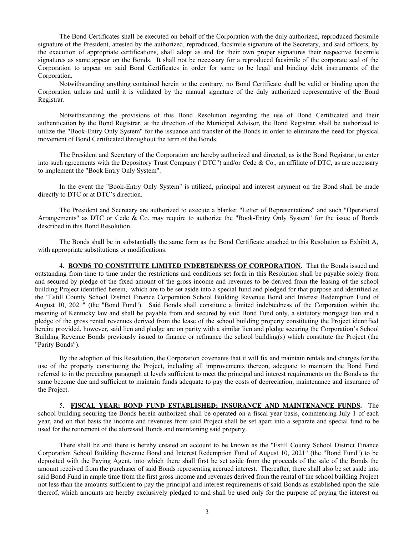The Bond Certificates shall be executed on behalf of the Corporation with the duly authorized, reproduced facsimile signature of the President, attested by the authorized, reproduced, facsimile signature of the Secretary, and said officers, by the execution of appropriate certifications, shall adopt as and for their own proper signatures their respective facsimile signatures as same appear on the Bonds. It shall not be necessary for a reproduced facsimile of the corporate seal of the Corporation to appear on said Bond Certificates in order for same to be legal and binding debt instruments of the Corporation.

Notwithstanding anything contained herein to the contrary, no Bond Certificate shall be valid or binding upon the Corporation unless and until it is validated by the manual signature of the duly authorized representative of the Bond Registrar.

Notwithstanding the provisions of this Bond Resolution regarding the use of Bond Certificated and their authentication by the Bond Registrar, at the direction of the Municipal Advisor, the Bond Registrar, shall be authorized to utilize the "Book-Entry Only System" for the issuance and transfer of the Bonds in order to eliminate the need for physical movement of Bond Certificated throughout the term of the Bonds.

The President and Secretary of the Corporation are hereby authorized and directed, as is the Bond Registrar, to enter into such agreements with the Depository Trust Company ("DTC") and/or Cede & Co., an affiliate of DTC, as are necessary to implement the "Book Entry Only System".

In the event the "Book-Entry Only System" is utilized, principal and interest payment on the Bond shall be made directly to DTC or at DTC's direction.

The President and Secretary are authorized to execute a blanket "Letter of Representations" and such "Operational Arrangements" as DTC or Cede & Co. may require to authorize the "Book-Entry Only System" for the issue of Bonds described in this Bond Resolution.

The Bonds shall be in substantially the same form as the Bond Certificate attached to this Resolution as Exhibit A, with appropriate substitutions or modifications.

4. **BONDS TO CONSTITUTE LIMITED INDEBTEDNESS OF CORPORATION**. That the Bonds issued and outstanding from time to time under the restrictions and conditions set forth in this Resolution shall be payable solely from and secured by pledge of the fixed amount of the gross income and revenues to be derived from the leasing of the school building Project identified herein, which are to be set aside into a special fund and pledged for that purpose and identified as the "Estill County School District Finance Corporation School Building Revenue Bond and Interest Redemption Fund of August 10, 2021" (the "Bond Fund"). Said Bonds shall constitute a limited indebtedness of the Corporation within the meaning of Kentucky law and shall be payable from and secured by said Bond Fund only, a statutory mortgage lien and a pledge of the gross rental revenues derived from the lease of the school building property constituting the Project identified herein; provided, however, said lien and pledge are on parity with a similar lien and pledge securing the Corporation's School Building Revenue Bonds previously issued to finance or refinance the school building(s) which constitute the Project (the "Parity Bonds").

By the adoption of this Resolution, the Corporation covenants that it will fix and maintain rentals and charges for the use of the property constituting the Project, including all improvements thereon, adequate to maintain the Bond Fund referred to in the preceding paragraph at levels sufficient to meet the principal and interest requirements on the Bonds as the same become due and sufficient to maintain funds adequate to pay the costs of depreciation, maintenance and insurance of the Project.

5. **FISCAL YEAR; BOND FUND ESTABLISHED; INSURANCE AND MAINTENANCE FUNDS.** The school building securing the Bonds herein authorized shall be operated on a fiscal year basis, commencing July 1 of each year, and on that basis the income and revenues from said Project shall be set apart into a separate and special fund to be used for the retirement of the aforesaid Bonds and maintaining said property.

There shall be and there is hereby created an account to be known as the "Estill County School District Finance Corporation School Building Revenue Bond and Interest Redemption Fund of August 10, 2021" (the "Bond Fund") to be deposited with the Paying Agent, into which there shall first be set aside from the proceeds of the sale of the Bonds the amount received from the purchaser of said Bonds representing accrued interest. Thereafter, there shall also be set aside into said Bond Fund in ample time from the first gross income and revenues derived from the rental of the school building Project not less than the amounts sufficient to pay the principal and interest requirements of said Bonds as established upon the sale thereof, which amounts are hereby exclusively pledged to and shall be used only for the purpose of paying the interest on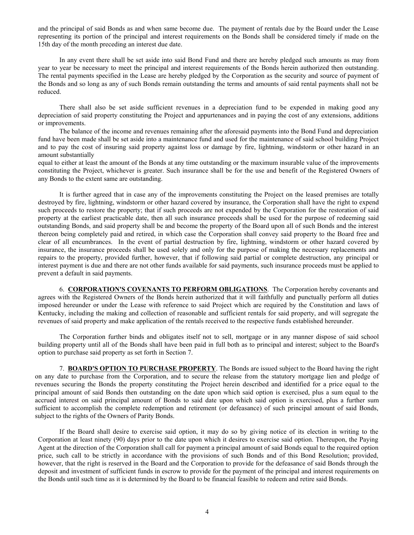and the principal of said Bonds as and when same become due. The payment of rentals due by the Board under the Lease representing its portion of the principal and interest requirements on the Bonds shall be considered timely if made on the 15th day of the month preceding an interest due date.

In any event there shall be set aside into said Bond Fund and there are hereby pledged such amounts as may from year to year be necessary to meet the principal and interest requirements of the Bonds herein authorized then outstanding. The rental payments specified in the Lease are hereby pledged by the Corporation as the security and source of payment of the Bonds and so long as any of such Bonds remain outstanding the terms and amounts of said rental payments shall not be reduced.

There shall also be set aside sufficient revenues in a depreciation fund to be expended in making good any depreciation of said property constituting the Project and appurtenances and in paying the cost of any extensions, additions or improvements.

The balance of the income and revenues remaining after the aforesaid payments into the Bond Fund and depreciation fund have been made shall be set aside into a maintenance fund and used for the maintenance of said school building Project and to pay the cost of insuring said property against loss or damage by fire, lightning, windstorm or other hazard in an amount substantially

equal to either at least the amount of the Bonds at any time outstanding or the maximum insurable value of the improvements constituting the Project, whichever is greater. Such insurance shall be for the use and benefit of the Registered Owners of any Bonds to the extent same are outstanding.

It is further agreed that in case any of the improvements constituting the Project on the leased premises are totally destroyed by fire, lightning, windstorm or other hazard covered by insurance, the Corporation shall have the right to expend such proceeds to restore the property; that if such proceeds are not expended by the Corporation for the restoration of said property at the earliest practicable date, then all such insurance proceeds shall be used for the purpose of redeeming said outstanding Bonds, and said property shall be and become the property of the Board upon all of such Bonds and the interest thereon being completely paid and retired, in which case the Corporation shall convey said property to the Board free and clear of all encumbrances. In the event of partial destruction by fire, lightning, windstorm or other hazard covered by insurance, the insurance proceeds shall be used solely and only for the purpose of making the necessary replacements and repairs to the property, provided further, however, that if following said partial or complete destruction, any principal or interest payment is due and there are not other funds available for said payments, such insurance proceeds must be applied to prevent a default in said payments.

6. **CORPORATION'S COVENANTS TO PERFORM OBLIGATIONS**. The Corporation hereby covenants and agrees with the Registered Owners of the Bonds herein authorized that it will faithfully and punctually perform all duties imposed hereunder or under the Lease with reference to said Project which are required by the Constitution and laws of Kentucky, including the making and collection of reasonable and sufficient rentals for said property, and will segregate the revenues of said property and make application of the rentals received to the respective funds established hereunder.

The Corporation further binds and obligates itself not to sell, mortgage or in any manner dispose of said school building property until all of the Bonds shall have been paid in full both as to principal and interest; subject to the Board's option to purchase said property as set forth in Section 7.

7. **BOARD'S OPTION TO PURCHASE PROPERTY**. The Bonds are issued subject to the Board having the right on any date to purchase from the Corporation, and to secure the release from the statutory mortgage lien and pledge of revenues securing the Bonds the property constituting the Project herein described and identified for a price equal to the principal amount of said Bonds then outstanding on the date upon which said option is exercised, plus a sum equal to the accrued interest on said principal amount of Bonds to said date upon which said option is exercised, plus a further sum sufficient to accomplish the complete redemption and retirement (or defeasance) of such principal amount of said Bonds, subject to the rights of the Owners of Parity Bonds.

If the Board shall desire to exercise said option, it may do so by giving notice of its election in writing to the Corporation at least ninety (90) days prior to the date upon which it desires to exercise said option. Thereupon, the Paying Agent at the direction of the Corporation shall call for payment a principal amount of said Bonds equal to the required option price, such call to be strictly in accordance with the provisions of such Bonds and of this Bond Resolution; provided, however, that the right is reserved in the Board and the Corporation to provide for the defeasance of said Bonds through the deposit and investment of sufficient funds in escrow to provide for the payment of the principal and interest requirements on the Bonds until such time as it is determined by the Board to be financial feasible to redeem and retire said Bonds.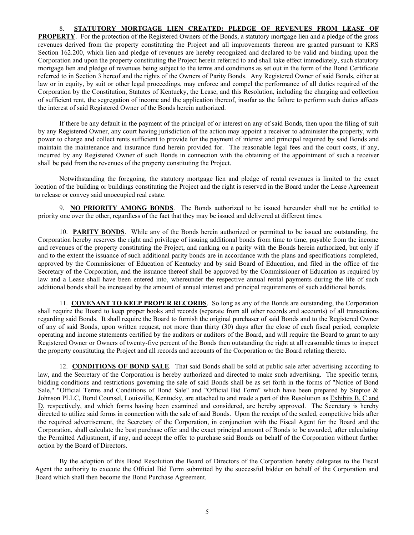## 8. **STATUTORY MORTGAGE LIEN CREATED; PLEDGE OF REVENUES FROM LEASE OF**

**PROPERTY**. For the protection of the Registered Owners of the Bonds, a statutory mortgage lien and a pledge of the gross revenues derived from the property constituting the Project and all improvements thereon are granted pursuant to KRS Section 162.200, which lien and pledge of revenues are hereby recognized and declared to be valid and binding upon the Corporation and upon the property constituting the Project herein referred to and shall take effect immediately, such statutory mortgage lien and pledge of revenues being subject to the terms and conditions as set out in the form of the Bond Certificate referred to in Section 3 hereof and the rights of the Owners of Parity Bonds. Any Registered Owner of said Bonds, either at law or in equity, by suit or other legal proceedings, may enforce and compel the performance of all duties required of the Corporation by the Constitution, Statutes of Kentucky, the Lease, and this Resolution, including the charging and collection of sufficient rent, the segregation of income and the application thereof, insofar as the failure to perform such duties affects the interest of said Registered Owner of the Bonds herein authorized.

If there be any default in the payment of the principal of or interest on any of said Bonds, then upon the filing of suit by any Registered Owner, any court having jurisdiction of the action may appoint a receiver to administer the property, with power to charge and collect rents sufficient to provide for the payment of interest and principal required by said Bonds and maintain the maintenance and insurance fund herein provided for. The reasonable legal fees and the court costs, if any, incurred by any Registered Owner of such Bonds in connection with the obtaining of the appointment of such a receiver shall be paid from the revenues of the property constituting the Project.

Notwithstanding the foregoing, the statutory mortgage lien and pledge of rental revenues is limited to the exact location of the building or buildings constituting the Project and the right is reserved in the Board under the Lease Agreement to release or convey said unoccupied real estate.

9. **NO PRIORITY AMONG BONDS**. The Bonds authorized to be issued hereunder shall not be entitled to priority one over the other, regardless of the fact that they may be issued and delivered at different times.

10. **PARITY BONDS**. While any of the Bonds herein authorized or permitted to be issued are outstanding, the Corporation hereby reserves the right and privilege of issuing additional bonds from time to time, payable from the income and revenues of the property constituting the Project, and ranking on a parity with the Bonds herein authorized, but only if and to the extent the issuance of such additional parity bonds are in accordance with the plans and specifications completed, approved by the Commissioner of Education of Kentucky and by said Board of Education, and filed in the office of the Secretary of the Corporation, and the issuance thereof shall be approved by the Commissioner of Education as required by law and a Lease shall have been entered into, whereunder the respective annual rental payments during the life of such additional bonds shall be increased by the amount of annual interest and principal requirements of such additional bonds.

11. **COVENANT TO KEEP PROPER RECORDS**. So long as any of the Bonds are outstanding, the Corporation shall require the Board to keep proper books and records (separate from all other records and accounts) of all transactions regarding said Bonds. It shall require the Board to furnish the original purchaser of said Bonds and to the Registered Owner of any of said Bonds, upon written request, not more than thirty (30) days after the close of each fiscal period, complete operating and income statements certified by the auditors or auditors of the Board, and will require the Board to grant to any Registered Owner or Owners of twenty-five percent of the Bonds then outstanding the right at all reasonable times to inspect the property constituting the Project and all records and accounts of the Corporation or the Board relating thereto.

12. **CONDITIONS OF BOND SALE**. That said Bonds shall be sold at public sale after advertising according to law, and the Secretary of the Corporation is hereby authorized and directed to make such advertising. The specific terms, bidding conditions and restrictions governing the sale of said Bonds shall be as set forth in the forms of "Notice of Bond Sale," "Official Terms and Conditions of Bond Sale" and "Official Bid Form" which have been prepared by Steptoe & Johnson PLLC, Bond Counsel, Louisville, Kentucky, are attached to and made a part of this Resolution as Exhibits B, C and D, respectively, and which forms having been examined and considered, are hereby approved. The Secretary is hereby directed to utilize said forms in connection with the sale of said Bonds. Upon the receipt of the sealed, competitive bids after the required advertisement, the Secretary of the Corporation, in conjunction with the Fiscal Agent for the Board and the Corporation, shall calculate the best purchase offer and the exact principal amount of Bonds to be awarded, after calculating the Permitted Adjustment, if any, and accept the offer to purchase said Bonds on behalf of the Corporation without further action by the Board of Directors.

By the adoption of this Bond Resolution the Board of Directors of the Corporation hereby delegates to the Fiscal Agent the authority to execute the Official Bid Form submitted by the successful bidder on behalf of the Corporation and Board which shall then become the Bond Purchase Agreement.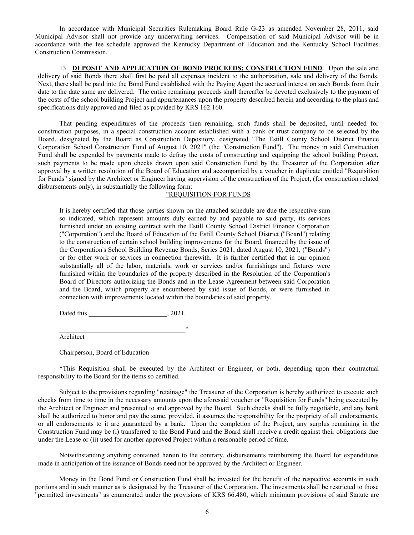In accordance with Municipal Securities Rulemaking Board Rule G-23 as amended November 28, 2011, said Municipal Advisor shall not provide any underwriting services. Compensation of said Municipal Advisor will be in accordance with the fee schedule approved the Kentucky Department of Education and the Kentucky School Facilities Construction Commission.

13. **DEPOSIT AND APPLICATION OF BOND PROCEEDS; CONSTRUCTION FUND**. Upon the sale and delivery of said Bonds there shall first be paid all expenses incident to the authorization, sale and delivery of the Bonds. Next, there shall be paid into the Bond Fund established with the Paying Agent the accrued interest on such Bonds from their date to the date same are delivered. The entire remaining proceeds shall thereafter be devoted exclusively to the payment of the costs of the school building Project and appurtenances upon the property described herein and according to the plans and specifications duly approved and filed as provided by KRS 162.160.

That pending expenditures of the proceeds then remaining, such funds shall be deposited, until needed for construction purposes, in a special construction account established with a bank or trust company to be selected by the Board, designated by the Board as Construction Depository, designated "The Estill County School District Finance Corporation School Construction Fund of August 10, 2021" (the "Construction Fund"). The money in said Construction Fund shall be expended by payments made to defray the costs of constructing and equipping the school building Project, such payments to be made upon checks drawn upon said Construction Fund by the Treasurer of the Corporation after approval by a written resolution of the Board of Education and accompanied by a voucher in duplicate entitled "Requisition for Funds" signed by the Architect or Engineer having supervision of the construction of the Project, (for construction related disbursements only), in substantially the following form:

## "REQUISITION FOR FUNDS

It is hereby certified that those parties shown on the attached schedule are due the respective sum so indicated, which represent amounts duly earned by and payable to said party, its services furnished under an existing contract with the Estill County School District Finance Corporation ("Corporation") and the Board of Education of the Estill County School District ("Board") relating to the construction of certain school building improvements for the Board, financed by the issue of the Corporation's School Building Revenue Bonds, Series 2021, dated August 10, 2021, ("Bonds") or for other work or services in connection therewith. It is further certified that in our opinion substantially all of the labor, materials, work or services and/or furnishings and fixtures were furnished within the boundaries of the property described in the Resolution of the Corporation's Board of Directors authorizing the Bonds and in the Lease Agreement between said Corporation and the Board, which property are encumbered by said issue of Bonds, or were furnished in connection with improvements located within the boundaries of said property.

Dated this \_\_\_\_\_\_\_\_\_\_\_\_\_\_\_\_\_\_\_\_\_\_\_\_\_\_\_, 2021.

 $\ast$ Architect

Chairperson, Board of Education

\*This Requisition shall be executed by the Architect or Engineer, or both, depending upon their contractual responsibility to the Board for the items so certified.

Subject to the provisions regarding "retainage" the Treasurer of the Corporation is hereby authorized to execute such checks from time to time in the necessary amounts upon the aforesaid voucher or "Requisition for Funds" being executed by the Architect or Engineer and presented to and approved by the Board. Such checks shall be fully negotiable, and any bank shall be authorized to honor and pay the same, provided, it assumes the responsibility for the propriety of all endorsements, or all endorsements to it are guaranteed by a bank. Upon the completion of the Project, any surplus remaining in the Construction Fund may be (i) transferred to the Bond Fund and the Board shall receive a credit against their obligations due under the Lease or (ii) used for another approved Project within a reasonable period of time.

Notwithstanding anything contained herein to the contrary, disbursements reimbursing the Board for expenditures made in anticipation of the issuance of Bonds need not be approved by the Architect or Engineer.

Money in the Bond Fund or Construction Fund shall be invested for the benefit of the respective accounts in such portions and in such manner as is designated by the Treasurer of the Corporation. The investments shall be restricted to those "permitted investments" as enumerated under the provisions of KRS 66.480, which minimum provisions of said Statute are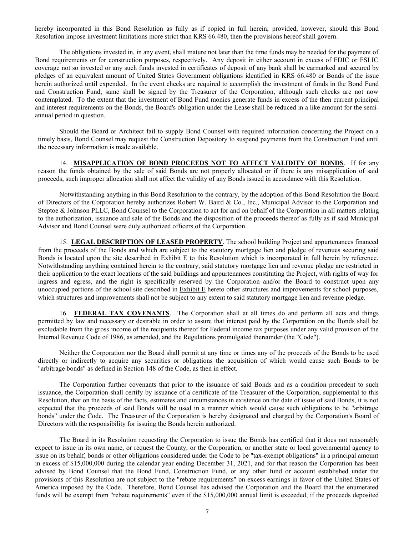hereby incorporated in this Bond Resolution as fully as if copied in full herein; provided, however, should this Bond Resolution impose investment limitations more strict than KRS 66.480, then the provisions hereof shall govern.

The obligations invested in, in any event, shall mature not later than the time funds may be needed for the payment of Bond requirements or for construction purposes, respectively. Any deposit in either account in excess of FDIC or FSLIC coverage not so invested or any such funds invested in certificates of deposit of any bank shall be earmarked and secured by pledges of an equivalent amount of United States Government obligations identified in KRS 66.480 or Bonds of the issue herein authorized until expended. In the event checks are required to accomplish the investment of funds in the Bond Fund and Construction Fund, same shall be signed by the Treasurer of the Corporation, although such checks are not now contemplated. To the extent that the investment of Bond Fund monies generate funds in excess of the then current principal and interest requirements on the Bonds, the Board's obligation under the Lease shall be reduced in a like amount for the semiannual period in question.

Should the Board or Architect fail to supply Bond Counsel with required information concerning the Project on a timely basis, Bond Counsel may request the Construction Depository to suspend payments from the Construction Fund until the necessary information is made available.

14. **MISAPPLICATION OF BOND PROCEEDS NOT TO AFFECT VALIDITY OF BONDS**. If for any reason the funds obtained by the sale of said Bonds are not properly allocated or if there is any misapplication of said proceeds, such improper allocation shall not affect the validity of any Bonds issued in accordance with this Resolution.

Notwithstanding anything in this Bond Resolution to the contrary, by the adoption of this Bond Resolution the Board of Directors of the Corporation hereby authorizes Robert W. Baird & Co., Inc., Municipal Advisor to the Corporation and Steptoe & Johnson PLLC, Bond Counsel to the Corporation to act for and on behalf of the Corporation in all matters relating to the authorization, issuance and sale of the Bonds and the disposition of the proceeds thereof as fully as if said Municipal Advisor and Bond Counsel were duly authorized officers of the Corporation.

15. **LEGAL DESCRIPTION OF LEASED PROPERTY**. The school building Project and appurtenances financed from the proceeds of the Bonds and which are subject to the statutory mortgage lien and pledge of revenues securing said Bonds is located upon the site described in Exhibit E to this Resolution which is incorporated in full herein by reference. Notwithstanding anything contained herein to the contrary, said statutory mortgage lien and revenue pledge are restricted in their application to the exact locations of the said buildings and appurtenances constituting the Project, with rights of way for ingress and egress, and the right is specifically reserved by the Corporation and/or the Board to construct upon any unoccupied portions of the school site described in Exhibit E hereto other structures and improvements for school purposes, which structures and improvements shall not be subject to any extent to said statutory mortgage lien and revenue pledge.

16. **FEDERAL TAX COVENANTS**. The Corporation shall at all times do and perform all acts and things permitted by law and necessary or desirable in order to assure that interest paid by the Corporation on the Bonds shall be excludable from the gross income of the recipients thereof for Federal income tax purposes under any valid provision of the Internal Revenue Code of 1986, as amended, and the Regulations promulgated thereunder (the "Code").

Neither the Corporation nor the Board shall permit at any time or times any of the proceeds of the Bonds to be used directly or indirectly to acquire any securities or obligations the acquisition of which would cause such Bonds to be "arbitrage bonds" as defined in Section 148 of the Code, as then in effect.

The Corporation further covenants that prior to the issuance of said Bonds and as a condition precedent to such issuance, the Corporation shall certify by issuance of a certificate of the Treasurer of the Corporation, supplemental to this Resolution, that on the basis of the facts, estimates and circumstances in existence on the date of issue of said Bonds, it is not expected that the proceeds of said Bonds will be used in a manner which would cause such obligations to be "arbitrage bonds" under the Code. The Treasurer of the Corporation is hereby designated and charged by the Corporation's Board of Directors with the responsibility for issuing the Bonds herein authorized.

The Board in its Resolution requesting the Corporation to issue the Bonds has certified that it does not reasonably expect to issue in its own name, or request the County, or the Corporation, or another state or local governmental agency to issue on its behalf, bonds or other obligations considered under the Code to be "tax-exempt obligations" in a principal amount in excess of \$15,000,000 during the calendar year ending December 31, 2021, and for that reason the Corporation has been advised by Bond Counsel that the Bond Fund, Construction Fund, or any other fund or account established under the provisions of this Resolution are not subject to the "rebate requirements" on excess earnings in favor of the United States of America imposed by the Code. Therefore, Bond Counsel has advised the Corporation and the Board that the enumerated funds will be exempt from "rebate requirements" even if the \$15,000,000 annual limit is exceeded, if the proceeds deposited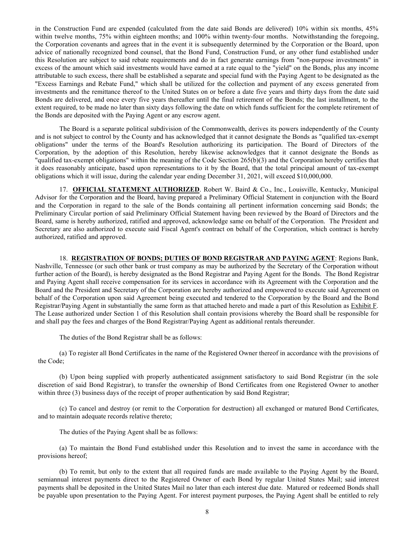in the Construction Fund are expended (calculated from the date said Bonds are delivered) 10% within six months, 45% within twelve months, 75% within eighteen months; and 100% within twenty-four months. Notwithstanding the foregoing, the Corporation covenants and agrees that in the event it is subsequently determined by the Corporation or the Board, upon advice of nationally recognized bond counsel, that the Bond Fund, Construction Fund, or any other fund established under this Resolution are subject to said rebate requirements and do in fact generate earnings from "non-purpose investments" in excess of the amount which said investments would have earned at a rate equal to the "yield" on the Bonds, plus any income attributable to such excess, there shall be established a separate and special fund with the Paying Agent to be designated as the "Excess Earnings and Rebate Fund," which shall be utilized for the collection and payment of any excess generated from investments and the remittance thereof to the United States on or before a date five years and thirty days from the date said Bonds are delivered, and once every five years thereafter until the final retirement of the Bonds; the last installment, to the extent required, to be made no later than sixty days following the date on which funds sufficient for the complete retirement of the Bonds are deposited with the Paying Agent or any escrow agent.

The Board is a separate political subdivision of the Commonwealth, derives its powers independently of the County and is not subject to control by the County and has acknowledged that it cannot designate the Bonds as "qualified tax-exempt obligations" under the terms of the Board's Resolution authorizing its participation. The Board of Directors of the Corporation, by the adoption of this Resolution, hereby likewise acknowledges that it cannot designate the Bonds as "qualified tax-exempt obligations" within the meaning of the Code Section 265(b)(3) and the Corporation hereby certifies that it does reasonably anticipate, based upon representations to it by the Board, that the total principal amount of tax-exempt obligations which it will issue, during the calendar year ending December 31, 2021, will exceed \$10,000,000.

17. **OFFICIAL STATEMENT AUTHORIZED**. Robert W. Baird & Co., Inc., Louisville, Kentucky, Municipal Advisor for the Corporation and the Board, having prepared a Preliminary Official Statement in conjunction with the Board and the Corporation in regard to the sale of the Bonds containing all pertinent information concerning said Bonds; the Preliminary Circular portion of said Preliminary Official Statement having been reviewed by the Board of Directors and the Board, same is hereby authorized, ratified and approved, acknowledge same on behalf of the Corporation. The President and Secretary are also authorized to execute said Fiscal Agent's contract on behalf of the Corporation, which contract is hereby authorized, ratified and approved.

18. **REGISTRATION OF BONDS; DUTIES OF BOND REGISTRAR AND PAYING AGENT**: Regions Bank, Nashville, Tennessee (or such other bank or trust company as may be authorized by the Secretary of the Corporation without further action of the Board), is hereby designated as the Bond Registrar and Paying Agent for the Bonds. The Bond Registrar and Paying Agent shall receive compensation for its services in accordance with its Agreement with the Corporation and the Board and the President and Secretary of the Corporation are hereby authorized and empowered to execute said Agreement on behalf of the Corporation upon said Agreement being executed and tendered to the Corporation by the Board and the Bond Registrar/Paying Agent in substantially the same form as that attached hereto and made a part of this Resolution as Exhibit F. The Lease authorized under Section 1 of this Resolution shall contain provisions whereby the Board shall be responsible for and shall pay the fees and charges of the Bond Registrar/Paying Agent as additional rentals thereunder.

The duties of the Bond Registrar shall be as follows:

(a) To register all Bond Certificates in the name of the Registered Owner thereof in accordance with the provisions of the Code;

(b) Upon being supplied with properly authenticated assignment satisfactory to said Bond Registrar (in the sole discretion of said Bond Registrar), to transfer the ownership of Bond Certificates from one Registered Owner to another within three (3) business days of the receipt of proper authentication by said Bond Registrar;

(c) To cancel and destroy (or remit to the Corporation for destruction) all exchanged or matured Bond Certificates, and to maintain adequate records relative thereto;

The duties of the Paying Agent shall be as follows:

(a) To maintain the Bond Fund established under this Resolution and to invest the same in accordance with the provisions hereof;

(b) To remit, but only to the extent that all required funds are made available to the Paying Agent by the Board, semiannual interest payments direct to the Registered Owner of each Bond by regular United States Mail; said interest payments shall be deposited in the United States Mail no later than each interest due date. Matured or redeemed Bonds shall be payable upon presentation to the Paying Agent. For interest payment purposes, the Paying Agent shall be entitled to rely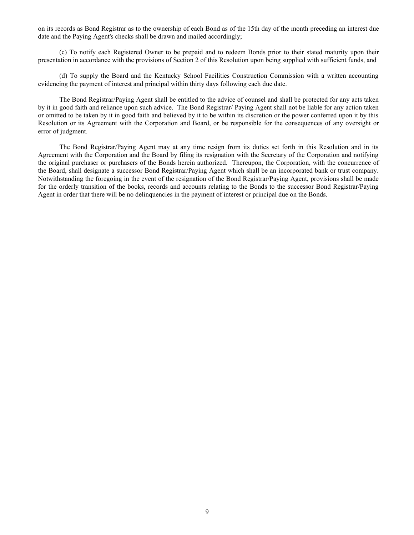on its records as Bond Registrar as to the ownership of each Bond as of the 15th day of the month preceding an interest due date and the Paying Agent's checks shall be drawn and mailed accordingly;

(c) To notify each Registered Owner to be prepaid and to redeem Bonds prior to their stated maturity upon their presentation in accordance with the provisions of Section 2 of this Resolution upon being supplied with sufficient funds, and

(d) To supply the Board and the Kentucky School Facilities Construction Commission with a written accounting evidencing the payment of interest and principal within thirty days following each due date.

The Bond Registrar/Paying Agent shall be entitled to the advice of counsel and shall be protected for any acts taken by it in good faith and reliance upon such advice. The Bond Registrar/ Paying Agent shall not be liable for any action taken or omitted to be taken by it in good faith and believed by it to be within its discretion or the power conferred upon it by this Resolution or its Agreement with the Corporation and Board, or be responsible for the consequences of any oversight or error of judgment.

The Bond Registrar/Paying Agent may at any time resign from its duties set forth in this Resolution and in its Agreement with the Corporation and the Board by filing its resignation with the Secretary of the Corporation and notifying the original purchaser or purchasers of the Bonds herein authorized. Thereupon, the Corporation, with the concurrence of the Board, shall designate a successor Bond Registrar/Paying Agent which shall be an incorporated bank or trust company. Notwithstanding the foregoing in the event of the resignation of the Bond Registrar/Paying Agent, provisions shall be made for the orderly transition of the books, records and accounts relating to the Bonds to the successor Bond Registrar/Paying Agent in order that there will be no delinquencies in the payment of interest or principal due on the Bonds.